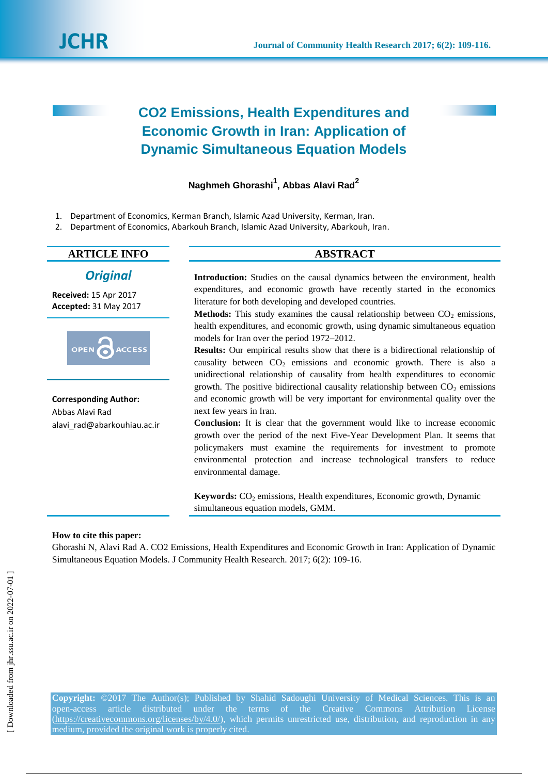# **CO2 Emissions, Health Expenditures and Economic Growth in Iran: Application of Dynamic Simultaneous Equation Models**

## **Naghmeh Ghorashi<sup>1</sup> , Abbas Alavi Rad<sup>2</sup>**

- 1. Department of Economics, Kerman Branch, Islamic Azad University, Kerman, Iran.
- 2. Department of Economics, Abarkouh Branch, Islamic Azad University, Abarkouh, Iran.

## **ARTICLE INFO ABSTRACT**

## *Original*

**Received:** 15 Apr 2017 **Accepted:** 31 May 2017



**Corresponding Author:** Abbas Alavi Rad alavi\_rad@abarkouhiau.ac.ir

**Introduction:** Studies on the causal dynamics between the environment, health expenditures, and economic growth have recently started in the economics literature for both developing and developed countries.

**Methods:** This study examines the causal relationship between  $CO<sub>2</sub>$  emissions, health expenditures, and economic growth, using dynamic simultaneous equation models for Iran over the period 1972–2012.

**Results:** Our empirical results show that there is a bidirectional relationship of causality between  $CO<sub>2</sub>$  emissions and economic growth. There is also a unidirectional relationship of causality from health expenditures to economic growth. The positive bidirectional causality relationship between  $CO<sub>2</sub>$  emissions and economic growth will be very important for environmental quality over the next few years in Iran.

**Conclusion:** It is clear that the government would like to increase economic growth over the period of the next Five-Year Development Plan. It seems that policymakers must examine the requirements for investment to promote environmental protection and increase technological transfers to reduce environmental damage.

Keywords: CO<sub>2</sub> emissions, Health expenditures, Economic growth, Dynamic simultaneous equation models, GMM.

#### **How to cite this paper:**

Ghorashi N, Alavi Rad A. CO2 Emissions, Health Expenditures and Economic Growth in Iran: Application of Dynamic Simultaneous Equation Models. J Community Health Research. 2017; 6(2): 109-16.

**Copyright:** ©2017 The Author(s); Published by Shahid Sadoughi University of Medical Sciences. This is an open-access article distributed under the terms of the Creative Commons Attribution License (https://creativecommons.org/licenses/by/4.0/), which permits unrestricted use, distribution, and reproduction in any medium, provided the original work is properly cited.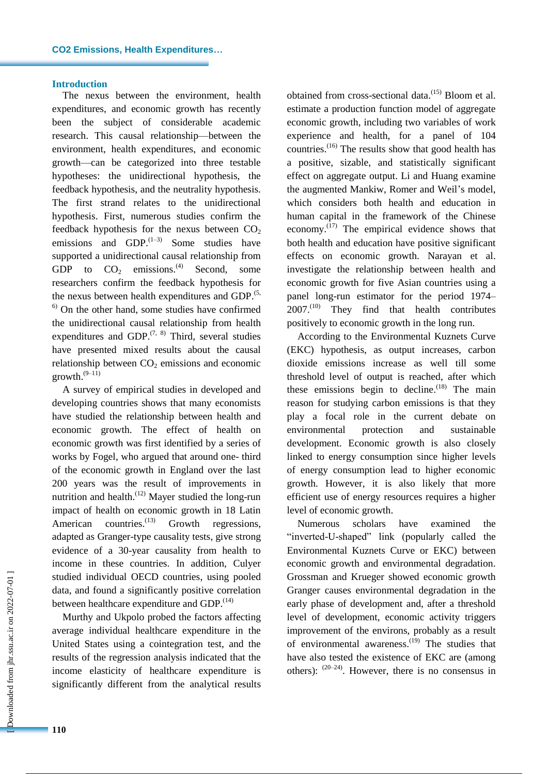#### **Introduction**

The nexus between the environment, health expenditures, and economic growth has recently been the subject of considerable academic research. This causal relationship—between the environment, health expenditures, and economic growth—can be categorized into three testable hypotheses: the unidirectional hypothesis, the feedback hypothesis, and the neutrality hypothesis. The first strand relates to the unidirectional hypothesis. First, numerous studies confirm the feedback hypothesis for the nexus between  $CO<sub>2</sub>$ emissions and  $GDP$ .<sup> $(1-3)$ </sup> Some studies have supported a unidirectional causal relationship from GDP to  $CO_2$  emissions.<sup>(4)</sup> Second, some researchers confirm the feedback hypothesis for the nexus between health expenditures and GDP.<sup>(5,</sup>  $<sup>6)</sup>$  On the other hand, some studies have confirmed</sup> the unidirectional causal relationship from health expenditures and GDP. $(7, 8)$  Third, several studies have presented mixed results about the causal relationship between  $CO<sub>2</sub>$  emissions and economic  $growth.<sup>(9-11)</sup>$ 

A survey of empirical studies in developed and developing countries shows that many economists have studied the relationship between health and economic growth. The effect of health on economic growth was first identified by a series of works by Fogel, who argued that around one- third of the economic growth in England over the last 200 years was the result of improvements in nutrition and health.<sup>(12)</sup> Mayer studied the long-run impact of health on economic growth in 18 Latin American countries.<sup>(13)</sup> Growth regressions, adapted as Granger-type causality tests, give strong evidence of a 30-year causality from health to income in these countries. In addition, Culyer studied individual OECD countries, using pooled data, and found a significantly positive correlation between healthcare expenditure and GDP.<sup>(14)</sup>

Murthy and Ukpolo probed the factors affecting average individual healthcare expenditure in the United States using a cointegration test, and the results of the regression analysis indicated that the income elasticity of healthcare expenditure is significantly different from the analytical results

obtained from cross-sectional data.<sup>(15)</sup> Bloom et al. estimate a production function model of aggregate economic growth, including two variables of work experience and health, for a panel of 104 countries. (16) The results show that good health has a positive, sizable, and statistically significant effect on aggregate output. Li and Huang examine the augmented Mankiw, Romer and Weil's model, which considers both health and education in human capital in the framework of the Chinese economy.<sup>(17)</sup> The empirical evidence shows that both health and education have positive significant effects on economic growth. Narayan et al. investigate the relationship between health and economic growth for five Asian countries using a panel long-run estimator for the period 1974–  $2007$ .<sup>(10)</sup> They find that health contributes positively to economic growth in the long run.

According to the Environmental Kuznets Curve (EKC) hypothesis, as output increases, carbon dioxide emissions increase as well till some threshold level of output is reached, after which these emissions begin to decline.<sup>(18)</sup> The main reason for studying carbon emissions is that they play a focal role in the current debate on environmental protection and sustainable development. Economic growth is also closely linked to energy consumption since higher levels of energy consumption lead to higher economic growth. However, it is also likely that more efficient use of energy resources requires a higher level of economic growth.

Numerous scholars have examined the "inverted-U-shaped" link (popularly called the Environmental Kuznets Curve or EKC) between economic growth and environmental degradation. Grossman and Krueger showed economic growth Granger causes environmental degradation in the early phase of development and, after a threshold level of development, economic activity triggers improvement of the environs, probably as a result of environmental awareness.<sup>(19)</sup> The studies that have also tested the existence of EKC are (among others):  $(20-24)$ . However, there is no consensus in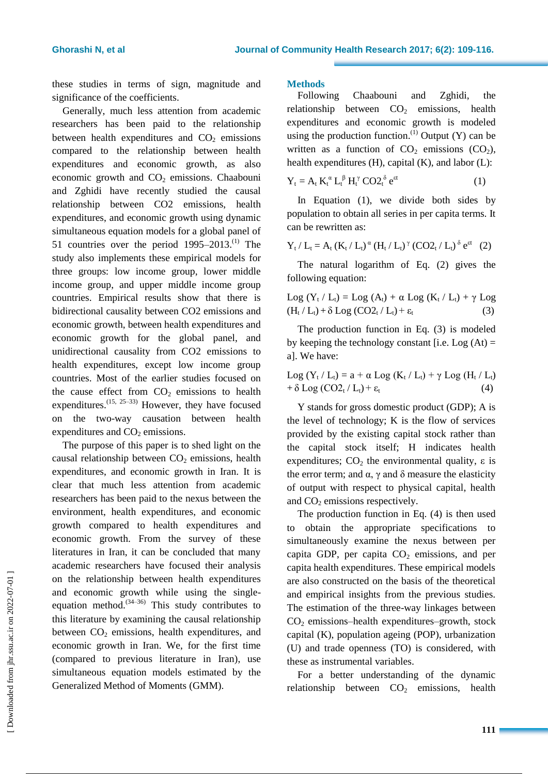these studies in terms of sign, magnitude and significance of the coefficients.

Generally, much less attention from academic researchers has been paid to the relationship between health expenditures and  $CO<sub>2</sub>$  emissions compared to the relationship between health expenditures and economic growth, as also economic growth and  $CO<sub>2</sub>$  emissions. Chaabouni and Zghidi have recently studied the causal relationship between CO2 emissions, health expenditures, and economic growth using dynamic simultaneous equation models for a global panel of 51 countries over the period  $1995-2013$ .<sup>(1)</sup> The study also implements these empirical models for three groups: low income group, lower middle income group, and upper middle income group countries. Empirical results show that there is bidirectional causality between CO2 emissions and economic growth, between health expenditures and economic growth for the global panel, and unidirectional causality from CO2 emissions to health expenditures, except low income group countries. Most of the earlier studies focused on the cause effect from  $CO<sub>2</sub>$  emissions to health expenditures.  $(15, 25-33)$  However, they have focused on the two-way causation between health expenditures and  $CO<sub>2</sub>$  emissions.

The purpose of this paper is to shed light on the causal relationship between  $CO<sub>2</sub>$  emissions, health expenditures, and economic growth in Iran. It is clear that much less attention from academic researchers has been paid to the nexus between the environment, health expenditures, and economic growth compared to health expenditures and economic growth. From the survey of these literatures in Iran, it can be concluded that many academic researchers have focused their analysis on the relationship between health expenditures and economic growth while using the singleequation method.  $(34-36)$  This study contributes to this literature by examining the causal relationship between  $CO<sub>2</sub>$  emissions, health expenditures, and economic growth in Iran. We, for the first time (compared to previous literature in Iran), use simultaneous equation models estimated by the Generalized Method of Moments (GMM).

#### **Methods**

Following Chaabouni and Zghidi, the relationship between  $CO<sub>2</sub>$  emissions, health expenditures and economic growth is modeled using the production function. $^{(1)}$  Output (Y) can be written as a function of  $CO<sub>2</sub>$  emissions  $(CO<sub>2</sub>)$ , health expenditures (H), capital (K), and labor (L):

$$
Y_t = A_t K_t^{\alpha} L_t^{\beta} H_t^{\gamma} CO2_t^{\delta} e^{ct}
$$
 (1)

In Equation (1), we divide both sides by population to obtain all series in per capita terms. It can be rewritten as:

$$
Y_{t} / L_{t} = A_{t} (K_{t} / L_{t})^{\alpha} (H_{t} / L_{t})^{\gamma} (CO2_{t} / L_{t})^{\delta} e^{\epsilon t} (2)
$$

The natural logarithm of Eq. (2) gives the following equation:

$$
\begin{aligned} \text{Log } (Y_t \setminus L_t) = \text{Log } (A_t) + \alpha \text{ Log } (K_t \setminus L_t) + \gamma \text{ Log } \\ (H_t \setminus L_t) + \delta \text{ Log } (\text{CO2}_t \setminus L_t) + \epsilon_t \end{aligned} \tag{3}
$$

The production function in Eq. (3) is modeled by keeping the technology constant [i.e. Log  $(At) =$ a]. We have:

$$
\begin{aligned} &\text{Log }(Y_t \, / \, L_t) = a + \alpha \text{ Log }(K_t \, / \, L_t) + \gamma \text{ Log }(H_t \, / \, L_t) \\ &+ \delta \text{ Log }(\text{CO2}_t \, / \, L_t) + \epsilon_t \end{aligned} \tag{4}
$$

Y stands for gross domestic product (GDP); A is the level of technology; K is the flow of services provided by the existing capital stock rather than the capital stock itself; H indicates health expenditures;  $CO<sub>2</sub>$  the environmental quality,  $\varepsilon$  is the error term; and  $\alpha$ , γ and δ measure the elasticity of output with respect to physical capital, health and  $CO<sub>2</sub>$  emissions respectively.

The production function in Eq. (4) is then used to obtain the appropriate specifications to simultaneously examine the nexus between per capita GDP, per capita  $CO<sub>2</sub>$  emissions, and per capita health expenditures. These empirical models are also constructed on the basis of the theoretical and empirical insights from the previous studies. The estimation of the three-way linkages between  $CO<sub>2</sub>$  emissions–health expenditures–growth, stock capital (K), population ageing (POP), urbanization (U) and trade openness (TO) is considered, with these as instrumental variables.

For a better understanding of the dynamic relationship between  $CO<sub>2</sub>$  emissions, health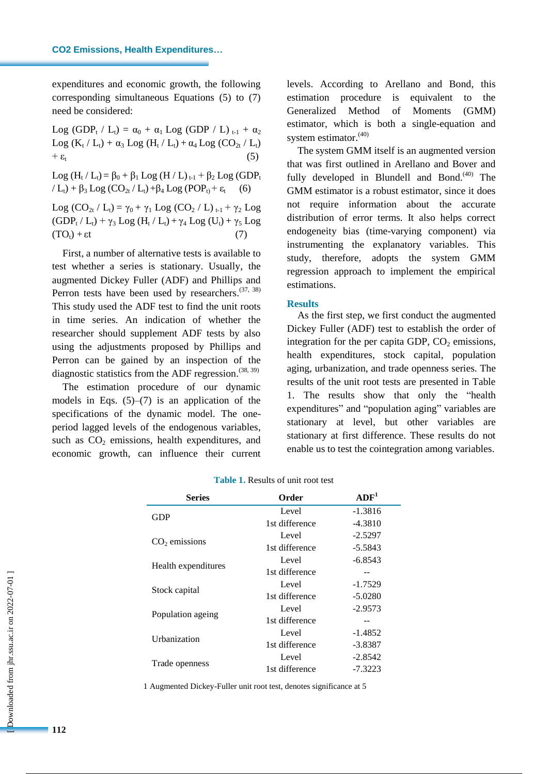expenditures and economic growth, the following corresponding simultaneous Equations (5) to (7) need be considered:

Log (GDP<sub>t</sub> / L<sub>t</sub>) =  $\alpha_0 + \alpha_1$  Log (GDP / L)  $_{t-1} + \alpha_2$ Log (K<sub>t</sub> / L<sub>t</sub>) +  $\alpha_3$  Log (H<sub>t</sub> / L<sub>t</sub>) +  $\alpha_4$  Log (CO<sub>2t</sub> / L<sub>t</sub>)  $+ \varepsilon_{t}$  (5)

Log (H<sub>t</sub> / L<sub>t</sub>) = β<sub>0</sub> + β<sub>1</sub> Log (H / L)<sub>t-1</sub> + β<sub>2</sub> Log (GDP<sub>t</sub>  $/L_t$ ) +  $\beta_3$  Log (CO<sub>2t</sub> / L<sub>t</sub>) +  $\beta_4$  Log (POP<sub>t</sub>) +  $\varepsilon_t$ 

Log  $(CO_{2t} / L_t) = \gamma_0 + \gamma_1 Log (CO_2 / L)_{t-1} + \gamma_2 Log$  $(GDP_t / L_t) + \gamma_3 Log (H_t / L_t) + \gamma_4 Log (U_t) + \gamma_5 Log$  $(TO_t) + \varepsilon t$  (7)

First, a number of alternative tests is available to test whether a series is stationary. Usually, the augmented Dickey Fuller (ADF) and Phillips and Perron tests have been used by researchers.  $(37, 38)$ This study used the ADF test to find the unit roots in time series. An indication of whether the researcher should supplement ADF tests by also using the adjustments proposed by Phillips and Perron can be gained by an inspection of the diagnostic statistics from the ADF regression.  $(38, 39)$ 

The estimation procedure of our dynamic models in Eqs.  $(5)$ – $(7)$  is an application of the specifications of the dynamic model. The oneperiod lagged levels of the endogenous variables, such as  $CO<sub>2</sub>$  emissions, health expenditures, and economic growth, can influence their current levels. According to Arellano and Bond, this estimation procedure is equivalent to the Generalized Method of Moments (GMM) estimator, which is both a single-equation and system estimator.<sup>(40)</sup>

The system GMM itself is an augmented version that was first outlined in Arellano and Bover and fully developed in Blundell and Bond.<sup>(40)</sup> The GMM estimator is a robust estimator, since it does not require information about the accurate distribution of error terms. It also helps correct endogeneity bias (time-varying component) via instrumenting the explanatory variables. This study, therefore, adopts the system GMM regression approach to implement the empirical estimations.

#### **Results**

As the first step, we first conduct the augmented Dickey Fuller (ADF) test to establish the order of integration for the per capita GDP,  $CO<sub>2</sub>$  emissions, health expenditures, stock capital, population aging, urbanization, and trade openness series. The results of the unit root tests are presented in Table 1. The results show that only the "health expenditures" and "population aging" variables are stationary at level, but other variables are stationary at first difference. These results do not enable us to test the cointegration among variables.

| <b>Series</b>       | Order          | ADF <sup>1</sup> |
|---------------------|----------------|------------------|
| GDP                 | Level          | $-1.3816$        |
|                     | 1st difference | $-4.3810$        |
|                     | Level          | $-2.5297$        |
| $CO2$ emissions     | 1st difference | $-5.5843$        |
| Health expenditures | Level          | -6.8543          |
|                     | 1st difference |                  |
|                     | Level          | $-1.7529$        |
| Stock capital       | 1st difference | $-5.0280$        |
|                     | Level          | $-2.9573$        |
| Population ageing   | 1st difference | --               |
| Urbanization        | Level          | $-1.4852$        |
|                     | 1st difference | $-3.8387$        |
| Trade openness      | Level          | -2.8542          |
|                     | 1st difference | -7.3223          |

**Table 1.** Results of unit root test

1 Augmented Dickey-Fuller unit root test, denotes significance at 5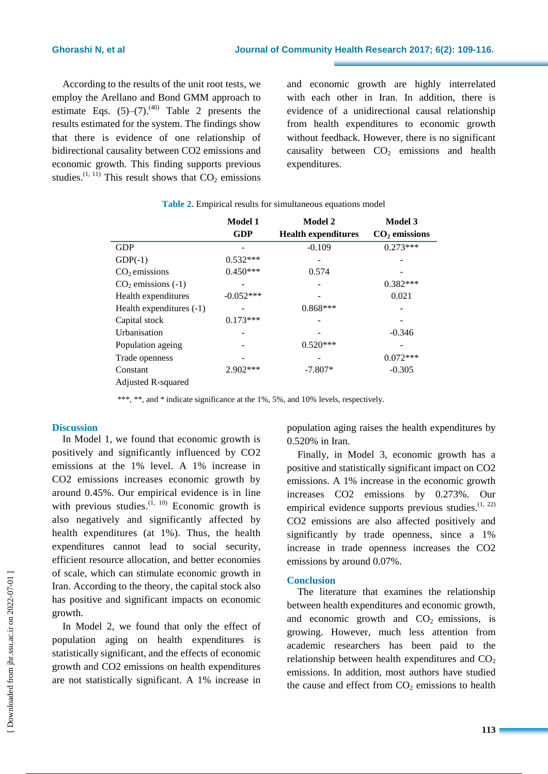According to the results of the unit root tests, we employ the Arellano and Bond GMM approach to estimate Eqs.  $(5)-(7)$ .<sup>(40)</sup> Table 2 presents the results estimated for the system. The findings show that there is evidence of one relationship of bidirectional causality between CO2 emissions and economic growth. This finding supports previous studies.<sup>(1, 11)</sup> This result shows that  $CO<sub>2</sub>$  emissions and economic growth are highly interrelated with each other in Iran. In addition, there is evidence of a unidirectional causal relationship from health expenditures to economic growth without feedback. However, there is no significant causality between  $CO<sub>2</sub>$  emissions and health expenditures.

|                            | Model 1<br><b>GDP</b> | Model 2<br><b>Health expenditures</b> | Model 3<br>$CO2$ emissions |
|----------------------------|-----------------------|---------------------------------------|----------------------------|
| <b>GDP</b>                 |                       | $-0.109$                              | $0.273***$                 |
| $GDP(-1)$                  | $0.532***$            |                                       |                            |
| $CO2$ emissions            | $0.450***$            | 0.574                                 |                            |
| $CO2$ emissions (-1)       |                       |                                       | $0.382***$                 |
| Health expenditures        | $-0.052***$           |                                       | 0.021                      |
| Health expenditures $(-1)$ |                       | $0.868***$                            |                            |
| Capital stock              | $0.173***$            |                                       |                            |
| <b>Urbanisation</b>        |                       |                                       | $-0.346$                   |
| Population ageing          |                       | $0.520***$                            |                            |
| Trade openness             |                       |                                       | $0.072***$                 |
| Constant                   | $2.902***$            | $-7.807*$                             | $-0.305$                   |
| Adjusted R-squared         |                       |                                       |                            |

| <b>Table 2.</b> Empirical results for simultaneous equations model |  |  |
|--------------------------------------------------------------------|--|--|
|                                                                    |  |  |

\*\*\*, \*\*, and \* indicate significance at the 1%, 5%, and 10% levels, respectively.

### **Discussion**

In Model 1, we found that economic growth is positively and significantly influenced by CO2 emissions at the 1% level. A 1% increase in CO2 emissions increases economic growth by around 0.45%. Our empirical evidence is in line with previous studies. $(1, 10)$  Economic growth is also negatively and significantly affected by health expenditures (at 1%). Thus, the health expenditures cannot lead to social security, efficient resource allocation, and better economies of scale, which can stimulate economic growth in Iran. According to the theory, the capital stock also has positive and significant impacts on economic growth.

In Model 2, we found that only the effect of population aging on health expenditures is statistically significant, and the effects of economic growth and CO2 emissions on health expenditures are not statistically significant. A 1% increase in population aging raises the health expenditures by 0.520% in Iran.

Finally, in Model 3, economic growth has a positive and statistically significant impact on CO2 emissions. A 1% increase in the economic growth increases CO2 emissions by 0.273%. Our empirical evidence supports previous studies.<sup>(1, 22)</sup> CO2 emissions are also affected positively and significantly by trade openness, since a 1% increase in trade openness increases the CO2 emissions by around 0.07%.

#### **Conclusion**

The literature that examines the relationship between health expenditures and economic growth, and economic growth and  $CO<sub>2</sub>$  emissions, is growing. However, much less attention from academic researchers has been paid to the relationship between health expenditures and  $CO<sub>2</sub>$ emissions. In addition, most authors have studied the cause and effect from  $CO<sub>2</sub>$  emissions to health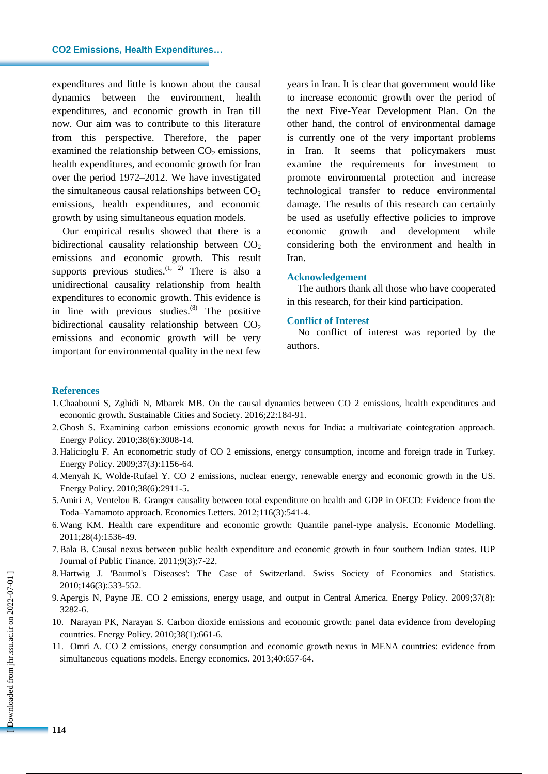#### **CO2 Emissions, Health Expenditures…**

expenditures and little is known about the causal dynamics between the environment, health expenditures, and economic growth in Iran till now. Our aim was to contribute to this literature from this perspective. Therefore, the paper examined the relationship between  $CO<sub>2</sub>$  emissions, health expenditures, and economic growth for Iran over the period 1972–2012. We have investigated the simultaneous causal relationships between  $CO<sub>2</sub>$ emissions, health expenditures, and economic growth by using simultaneous equation models.

Our empirical results showed that there is a bidirectional causality relationship between  $CO<sub>2</sub>$ emissions and economic growth. This result supports previous studies. $(1, 2)$  There is also a unidirectional causality relationship from health expenditures to economic growth. This evidence is in line with previous studies.<sup>(8)</sup> The positive bidirectional causality relationship between  $CO<sub>2</sub>$ emissions and economic growth will be very important for environmental quality in the next few

years in Iran. It is clear that government would like to increase economic growth over the period of the next Five-Year Development Plan. On the other hand, the control of environmental damage is currently one of the very important problems in Iran. It seems that policymakers must examine the requirements for investment to promote environmental protection and increase technological transfer to reduce environmental damage. The results of this research can certainly be used as usefully effective policies to improve economic growth and development while considering both the environment and health in Iran.

#### **Acknowledgement**

The authors thank all those who have cooperated in this research, for their kind participation.

#### **Conflict of Interest**

No conflict of interest was reported by the authors.

#### **References**

- 1.Chaabouni S, Zghidi N, Mbarek MB. On the causal dynamics between CO 2 emissions, health expenditures and economic growth. Sustainable Cities and Society. 2016;22:184-91.
- 2.Ghosh S. Examining carbon emissions economic growth nexus for India: a multivariate cointegration approach. Energy Policy. 2010;38(6):3008-14.
- 3.Halicioglu F. An econometric study of CO 2 emissions, energy consumption, income and foreign trade in Turkey. Energy Policy. 2009;37(3):1156-64.
- 4.Menyah K, Wolde-Rufael Y. CO 2 emissions, nuclear energy, renewable energy and economic growth in the US. Energy Policy. 2010;38(6):2911-5.
- 5.Amiri A, Ventelou B. Granger causality between total expenditure on health and GDP in OECD: Evidence from the Toda–Yamamoto approach. Economics Letters. 2012;116(3):541-4.
- 6.Wang KM. Health care expenditure and economic growth: Quantile panel-type analysis. Economic Modelling. 2011;28(4):1536-49.
- 7.Bala B. Causal nexus between public health expenditure and economic growth in four southern Indian states. IUP Journal of Public Finance. 2011;9(3):7-22.
- 8.Hartwig J. 'Baumol's Diseases': The Case of Switzerland. Swiss Society of Economics and Statistics. 2010;146(3):533-552.
- 9.Apergis N, Payne JE. CO 2 emissions, energy usage, and output in Central America. Energy Policy. 2009;37(8): 3282-6.
- 10. Narayan PK, Narayan S. Carbon dioxide emissions and economic growth: panel data evidence from developing countries. Energy Policy. 2010;38(1):661-6.
- 11. Omri A. CO 2 emissions, energy consumption and economic growth nexus in MENA countries: evidence from simultaneous equations models. Energy economics. 2013;40:657-64.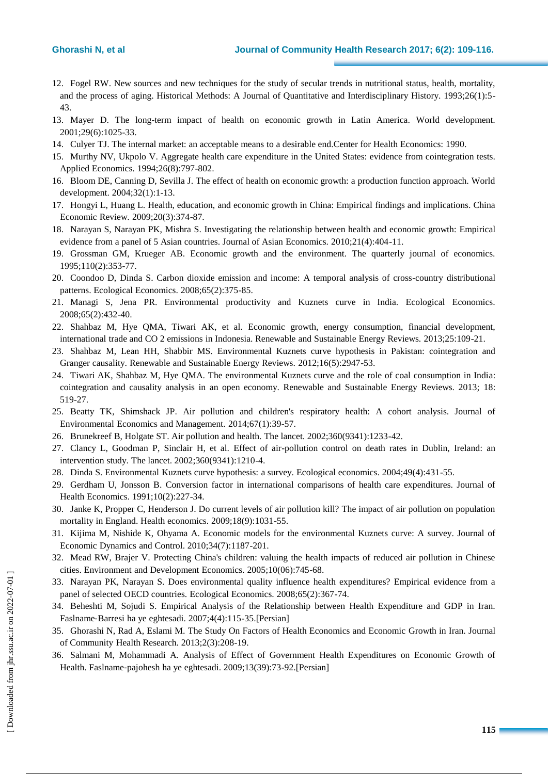- 12. Fogel RW. New sources and new techniques for the study of secular trends in nutritional status, health, mortality, and the process of aging. Historical Methods: A Journal of Quantitative and Interdisciplinary History. 1993;26(1):5- 43.
- 13. Mayer D. The long-term impact of health on economic growth in Latin America. World development. 2001;29(6):1025-33.
- 14. Culyer TJ. The internal market: an acceptable means to a desirable end.Center for Health Economics: 1990.
- 15. Murthy NV, Ukpolo V. Aggregate health care expenditure in the United States: evidence from cointegration tests. Applied Economics. 1994;26(8):797-802.
- 16. Bloom DE, Canning D, Sevilla J. The effect of health on economic growth: a production function approach. World development. 2004;32(1):1-13.
- 17. Hongyi L, Huang L. Health, education, and economic growth in China: Empirical findings and implications. China Economic Review. 2009;20(3):374-87.
- 18. Narayan S, Narayan PK, Mishra S. Investigating the relationship between health and economic growth: Empirical evidence from a panel of 5 Asian countries. Journal of Asian Economics. 2010;21(4):404-11.
- 19. Grossman GM, Krueger AB. Economic growth and the environment. The quarterly journal of economics. 1995;110(2):353-77.
- 20. Coondoo D, Dinda S. Carbon dioxide emission and income: A temporal analysis of cross-country distributional patterns. Ecological Economics. 2008;65(2):375-85.
- 21. Managi S, Jena PR. Environmental productivity and Kuznets curve in India. Ecological Economics. 2008;65(2):432-40.
- 22. Shahbaz M, Hye QMA, Tiwari AK, et al. Economic growth, energy consumption, financial development, international trade and CO 2 emissions in Indonesia. Renewable and Sustainable Energy Reviews. 2013;25:109-21.
- 23. Shahbaz M, Lean HH, Shabbir MS. Environmental Kuznets curve hypothesis in Pakistan: cointegration and Granger causality. Renewable and Sustainable Energy Reviews. 2012;16(5):2947-53.
- 24. Tiwari AK, Shahbaz M, Hye QMA. The environmental Kuznets curve and the role of coal consumption in India: cointegration and causality analysis in an open economy. Renewable and Sustainable Energy Reviews. 2013; 18: 519-27.
- 25. Beatty TK, Shimshack JP. Air pollution and children's respiratory health: A cohort analysis. Journal of Environmental Economics and Management. 2014;67(1):39-57.
- 26. Brunekreef B, Holgate ST. Air pollution and health. The lancet. 2002;360(9341):1233-42.
- 27. Clancy L, Goodman P, Sinclair H, et al. Effect of air-pollution control on death rates in Dublin, Ireland: an intervention study. The lancet. 2002;360(9341):1210-4.
- 28. Dinda S. Environmental Kuznets curve hypothesis: a survey. Ecological economics. 2004;49(4):431-55.
- 29. Gerdham U, Jonsson B. Conversion factor in international comparisons of health care expenditures. Journal of Health Economics. 1991;10(2):227-34.
- 30. Janke K, Propper C, Henderson J. Do current levels of air pollution kill? The impact of air pollution on population mortality in England. Health economics. 2009;18(9):1031-55.
- 31. Kijima M, Nishide K, Ohyama A. Economic models for the environmental Kuznets curve: A survey. Journal of Economic Dynamics and Control. 2010;34(7):1187-201.
- 32. Mead RW, Brajer V. Protecting China's children: valuing the health impacts of reduced air pollution in Chinese cities. Environment and Development Economics. 2005;10(06):745-68.
- 33. Narayan PK, Narayan S. Does environmental quality influence health expenditures? Empirical evidence from a panel of selected OECD countries. Ecological Economics. 2008;65(2):367-74.
- 34. Beheshti M, Sojudi S. Empirical Analysis of the Relationship between Health Expenditure and GDP in Iran. Faslname‐Barresi ha ye eghtesadi. 2007;4(4):115-35.[Persian]
- 35. Ghorashi N, Rad A, Eslami M. The Study On Factors of Health Economics and Economic Growth in Iran. Journal of Community Health Research. 2013;2(3):208-19.
- 36. Salmani M, Mohammadi A. Analysis of Effect of Government Health Expenditures on Economic Growth of Health. Faslname‐pajohesh ha ye eghtesadi. 2009;13(39):73-92.[Persian]